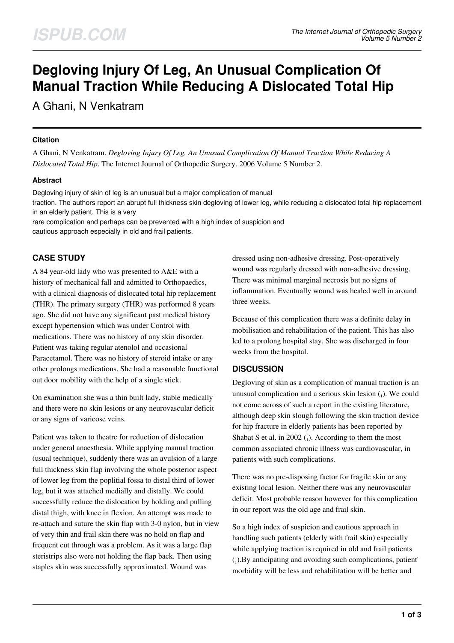# **Degloving Injury Of Leg, An Unusual Complication Of Manual Traction While Reducing A Dislocated Total Hip**

A Ghani, N Venkatram

#### **Citation**

A Ghani, N Venkatram. *Degloving Injury Of Leg, An Unusual Complication Of Manual Traction While Reducing A Dislocated Total Hip*. The Internet Journal of Orthopedic Surgery. 2006 Volume 5 Number 2.

### **Abstract**

Degloving injury of skin of leg is an unusual but a major complication of manual

traction. The authors report an abrupt full thickness skin degloving of lower leg, while reducing a dislocated total hip replacement in an elderly patient. This is a very

rare complication and perhaps can be prevented with a high index of suspicion and cautious approach especially in old and frail patients.

## **CASE STUDY**

A 84 year-old lady who was presented to A&E with a history of mechanical fall and admitted to Orthopaedics, with a clinical diagnosis of dislocated total hip replacement (THR). The primary surgery (THR) was performed 8 years ago. She did not have any significant past medical history except hypertension which was under Control with medications. There was no history of any skin disorder. Patient was taking regular atenolol and occasional Paracetamol. There was no history of steroid intake or any other prolongs medications. She had a reasonable functional out door mobility with the help of a single stick.

On examination she was a thin built lady, stable medically and there were no skin lesions or any neurovascular deficit or any signs of varicose veins.

Patient was taken to theatre for reduction of dislocation under general anaesthesia. While applying manual traction (usual technique), suddenly there was an avulsion of a large full thickness skin flap involving the whole posterior aspect of lower leg from the poplitial fossa to distal third of lower leg, but it was attached medially and distally. We could successfully reduce the dislocation by holding and pulling distal thigh, with knee in flexion. An attempt was made to re-attach and suture the skin flap with 3-0 nylon, but in view of very thin and frail skin there was no hold on flap and frequent cut through was a problem. As it was a large flap steristrips also were not holding the flap back. Then using staples skin was successfully approximated. Wound was

dressed using non-adhesive dressing. Post-operatively wound was regularly dressed with non-adhesive dressing. There was minimal marginal necrosis but no signs of inflammation. Eventually wound was healed well in around three weeks.

Because of this complication there was a definite delay in mobilisation and rehabilitation of the patient. This has also led to a prolong hospital stay. She was discharged in four weeks from the hospital.

### **DISCUSSION**

Degloving of skin as a complication of manual traction is an unusual complication and a serious skin lesion  $_{(1)}$ ). We could not come across of such a report in the existing literature, although deep skin slough following the skin traction device for hip fracture in elderly patients has been reported by Shabat S et al. in 2002  $\binom{1}{1}$ . According to them the most common associated chronic illness was cardiovascular, in patients with such complications.

There was no pre-disposing factor for fragile skin or any existing local lesion. Neither there was any neurovascular deficit. Most probable reason however for this complication in our report was the old age and frail skin.

So a high index of suspicion and cautious approach in handling such patients (elderly with frail skin) especially while applying traction is required in old and frail patients (1 ).By anticipating and avoiding such complications, patient' morbidity will be less and rehabilitation will be better and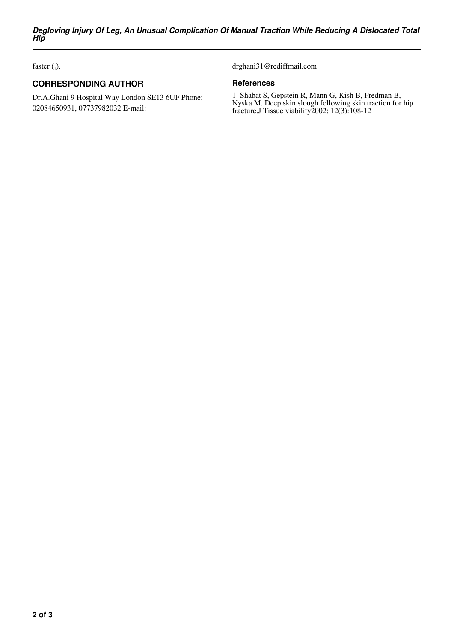faster  $\binom{1}{1}$ .

## **CORRESPONDING AUTHOR**

Dr.A.Ghani 9 Hospital Way London SE13 6UF Phone: 02084650931, 07737982032 E-mail:

drghani31@rediffmail.com

#### **References**

1. Shabat S, Gepstein R, Mann G, Kish B, Fredman B, Nyska M. Deep skin slough following skin traction for hip fracture.J Tissue viability2002; 12(3):108-12